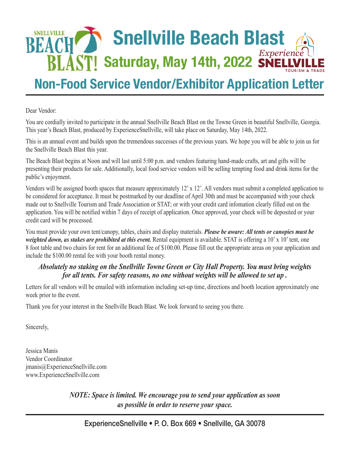# **SNELLVILLE Snellville Beach Blast BLAST! Saturday, May 14th, 2022 SNELLVI**

## **Non-Food Service Vendor/Exhibitor Application Letter**

Dear Vendor:

You are cordially invited to participate in the annual Snellville Beach Blast on the Towne Green in beautiful Snellville, Georgia. This year's Beach Blast, produced by ExperienceSnellville, will take place on Saturday, May 14th, 2022.

This is an annual event and builds upon the tremendous successes of the previous years. We hope you will be able to join us for the Snellville Beach Blast this year.

The Beach Blast begins at Noon and will last until 5:00 p.m. and vendors featuring hand-made crafts, art and gifts will be presenting their products for sale. Additionally, local food service vendors will be selling tempting food and drink items for the public's enjoyment.

Vendors will be assigned booth spaces that measure approximately 12' x 12'. All vendors must submit a completed application to be considered for acceptance. It must be postmarked by our deadline of April 30th and must be accompanied with your check made out to Snellville Tourism and Trade Association or STAT; or with your credit card infomation clearly filled out on the application. You will be notified within 7 days of receipt of application. Once approved, your check will be deposited or your credit card will be processed.

You must provide your own tent/canopy, tables, chairs and display materials. *Please be aware: All tents or canopies must be weighted down, as stakes are prohibited at this event.* Rental equipment is available. STAT is offering a 10' x 10' tent, one 8 foot table and two chairs for rent for an additional fee of \$100.00. Please fill out the appropriate areas on your application and include the \$100.00 rental fee with your booth rental money.

### *Absolutely no staking on the Snellville Towne Green or City Hall Property. You must bring weights for all tents. For safety reasons, no one without weights will be allowed to set up .*

Letters for all vendors will be emailed with information including set-up time, directions and booth location approximately one week prior to the event.

Thank you for your interest in the Snellville Beach Blast. We look forward to seeing you there.

Sincerely,

Jessica Manis Vendor Coordinator jmanis@ExperienceSnellville.com www.ExperienceSnellville.com

> *NOTE: Space is limited. We encourage you to send your application as soon as possible in order to reserve your space.*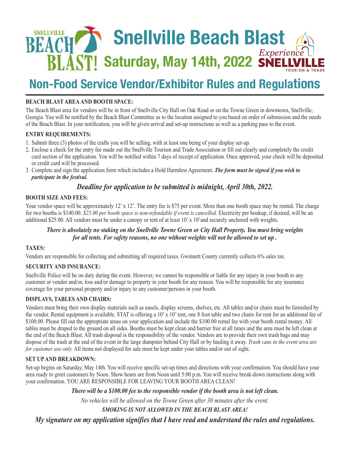

## **Non-Food Service Vendor/Exhibitor Rules and Regulations**

#### **BEACH BLAST AREA AND BOOTH SPACE:**

The Beach Blast area for vendors will be in front of Snellville City Hall on Oak Road or on the Towne Green in downtown, Snellville, Georgia. You will be notified by the Beach Blast Committee as to the location assigned to you based on order of submission and the needs of the Beach Blast. In your notification, you will be given arrival and set-up instructions as well as a parking pass to the event.

#### **ENTRY REQUIREMENTS:**

- 1. Submit three (3) photos of the crafts you will be selling, with at least one being of your display set-up.
- 2. Enclose a check for the entry fee made out the Snellville Tourism and Trade Association or fill out clearly and completely the credit card section of the application. You will be notified within 7 days of receipt of application. Once approved, your check will be deposited or credit card will be processed.
- 3. Complete and sign the application form which includes a Hold Harmless Agreement. *The form must be signed if you wish to participate in the festival.*

#### *Deadline for application to be submitted is midnight, April 30th, 2022.*

#### **BOOTH SIZE AND FEES:**

Your vendor space will be approximately 12' x 12'. The entry fee is \$75 per event. More than one booth space may be rented. The charge for two booths is \$140.00. *\$25.00 per booth space is non-refundable if event is cancelled.* Electricity per hookup, if desired, will be an additional \$25.00. All vendors must be under a canopy or tent of at least 10' x 10'and securely anchored with weights.

#### *There is absolutely no staking on the Snellville Towne Green or City Hall Property. You must bring weights for all tents. For safety reasons, no one without weights will not be allowed to set up .*

#### **TAXES:**

Vendors are responsible for collecting and submitting all required taxes. Gwinnett County currently collects 6% sales tax.

#### **SECURITY AND INSURANCE:**

Snellville Police will be on duty during the event. However, we cannot be responsible or liable for any injury in your booth to any customer or vendor and/or, loss and/or damage to property in your booth for any reason. You will be responsible for any insurance coverage for your personal property and/or injury to any customer/persons in your booth.

#### **DISPLAYS, TABLES AND CHAIRS:**

Vendors must bring their own display materials such as easels, display screens, shelves, etc. All tables and/or chairs must be furnished by the vendor. Rental equipment is available. STAT is offering a 10' x 10' tent, one 8 foot table and two chairs for rent for an additional fee of \$100.00. Please fill out the appropriate areas on your application and include the \$100.00 rental fee with your booth rental money. All tables must be draped to the ground on all sides. Booths must be kept clean and barrier free at all times and the area must be left clean at the end of the Beach Blast. All trash disposal is the responsibility of the vendor. Vendors are to provide their own trash bags and may dispose of the trash at the end of the event in the large dumpster behind City Hall or by hauling it away. *Trash cans in the event area are for customer use only.* All items not displayed for sale must be kept under your tables and/or out of sight.

#### **SET UP AND BREAKDOWN:**

Set-up begins on Saturday, May 14th. You will receive specific set-up times and directions with your confirmation. You should have your area ready to greet customers by Noon. Show hours are from Noon until 5:00 p.m. You will receive break-down instructions along with your confirmation. YOU ARE RESPONSIBLE FOR LEAVING YOUR BOOTH AREA CLEAN!

*There will be a \$100.00 fee to the responsible vendor if the booth area is not left clean.*

*No vehicles will be allowed on the Towne Green after 30 minutes after the event.* 

*SMOKING IS NOT ALLOWED IN THE BEACH BLAST AREA!* 

*My signature on my application signifies that I have read and understand the rules and regulations.*